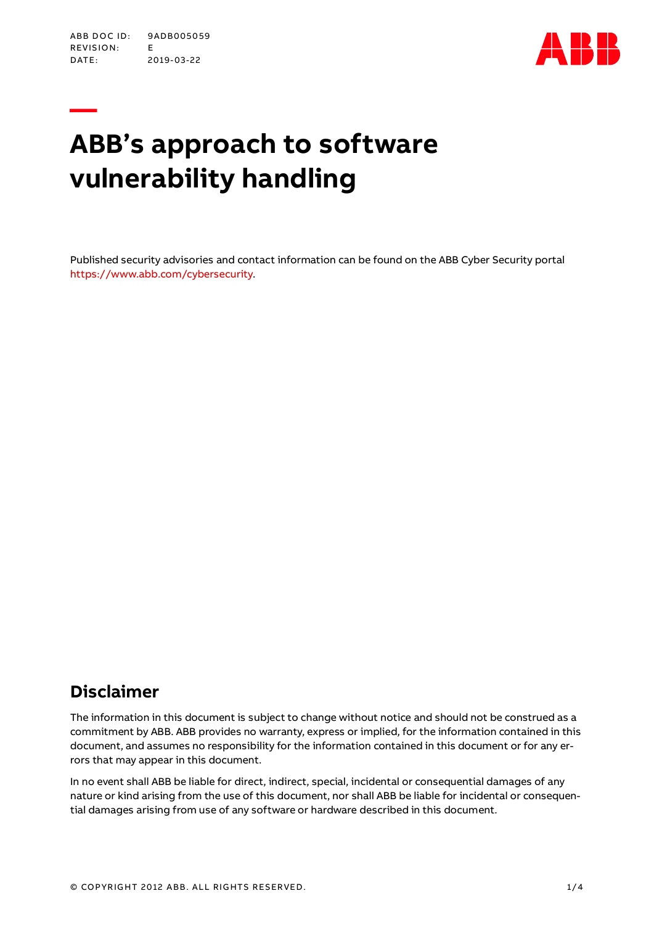**—**



# **ABB's approach to software vulnerability handling**

Published security advisories and contact information can be found on the ABB Cyber Security portal [https://www.abb.com/cybersecurity.](https://www.abb.com/cybersecurity)

# **Disclaimer**

The information in this document is subject to change without notice and should not be construed as a commitment by ABB. ABB provides no warranty, express or implied, for the information contained in this document, and assumes no responsibility for the information contained in this document or for any errors that may appear in this document.

In no event shall ABB be liable for direct, indirect, special, incidental or consequential damages of any nature or kind arising from the use of this document, nor shall ABB be liable for incidental or consequential damages arising from use of any software or hardware described in this document.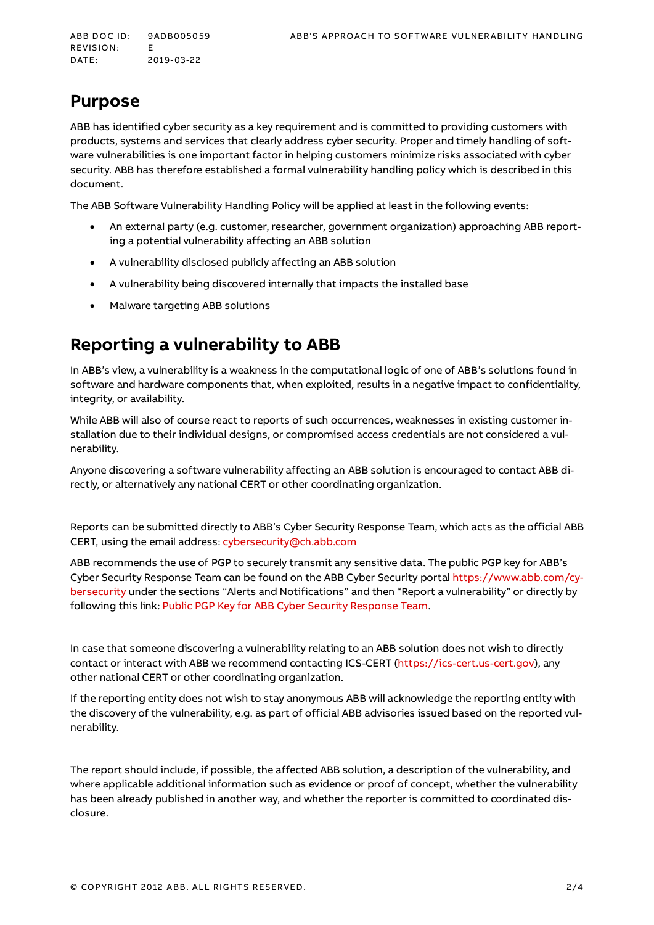# **Purpose**

ABB has identified cyber security as a key requirement and is committed to providing customers with products, systems and services that clearly address cyber security. Proper and timely handling of software vulnerabilities is one important factor in helping customers minimize risks associated with cyber security. ABB has therefore established a formal vulnerability handling policy which is described in this document.

The ABB Software Vulnerability Handling Policy will be applied at least in the following events:

- An external party (e.g. customer, researcher, government organization) approaching ABB reporting a potential vulnerability affecting an ABB solution
- A vulnerability disclosed publicly affecting an ABB solution
- A vulnerability being discovered internally that impacts the installed base
- Malware targeting ABB solutions

# **Reporting a vulnerability to ABB**

In ABB's view, a vulnerability is a weakness in the computational logic of one of ABB's solutions found in software and hardware components that, when exploited, results in a negative impact to confidentiality, integrity, or availability.

While ABB will also of course react to reports of such occurrences, weaknesses in existing customer installation due to their individual designs, or compromised access credentials are not considered a vulnerability.

Anyone discovering a software vulnerability affecting an ABB solution is encouraged to contact ABB directly, or alternatively any national CERT or other coordinating organization.

Reports can be submitted directly to ABB's Cyber Security Response Team, which acts as the official ABB CERT, using the email address[: cybersecurity@ch.abb.com](mailto:cybersecurity@ch.abb.com)

ABB recommends the use of PGP to securely transmit any sensitive data. The public PGP key for ABB's Cyber Security Response Team can be found on the ABB Cyber Security portal [https://www.abb.com/cy](https://www.abb.com/cybersecurity)[bersecurity](https://www.abb.com/cybersecurity) under the sections "Alerts and Notifications" and then "Report a vulnerability" or directly by following this link: [Public PGP Key for ABB Cyber Security Response Team.](https://new.abb.com/docs/default-source/technology/abb-cyber-security-response-team.asc)

In case that someone discovering a vulnerability relating to an ABB solution does not wish to directly contact or interact with ABB we recommend contacting ICS-CERT [\(https://ics-cert.us-cert.gov\)](https://ics-cert.us-cert.gov/), any other national CERT or other coordinating organization.

If the reporting entity does not wish to stay anonymous ABB will acknowledge the reporting entity with the discovery of the vulnerability, e.g. as part of official ABB advisories issued based on the reported vulnerability.

The report should include, if possible, the affected ABB solution, a description of the vulnerability, and where applicable additional information such as evidence or proof of concept, whether the vulnerability has been already published in another way, and whether the reporter is committed to coordinated disclosure.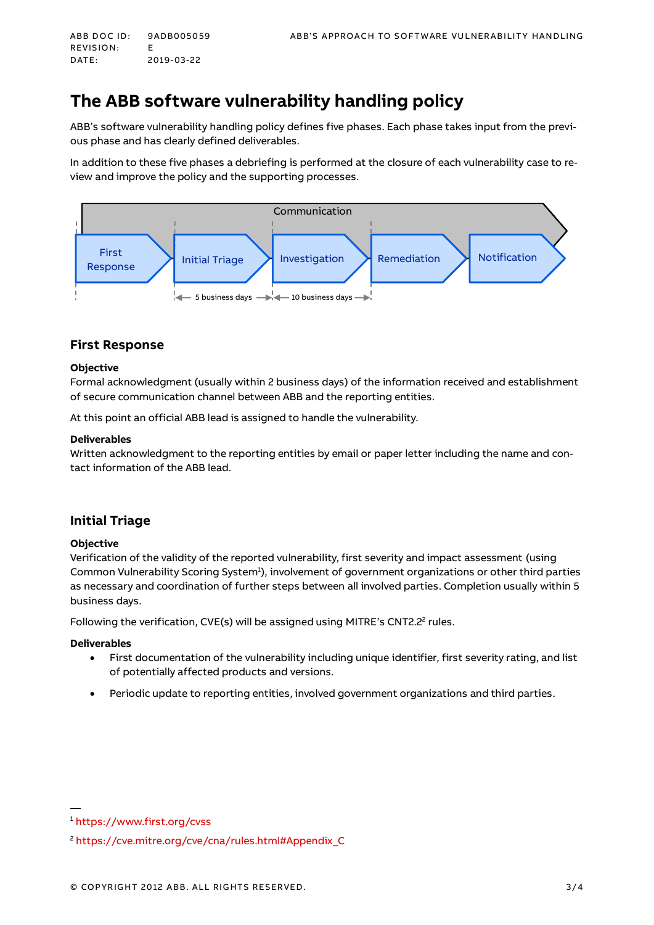REVISION: F DATE: 2019-03-22

# **The ABB software vulnerability handling policy**

ABB's software vulnerability handling policy defines five phases. Each phase takes input from the previous phase and has clearly defined deliverables.

In addition to these five phases a debriefing is performed at the closure of each vulnerability case to review and improve the policy and the supporting processes.



### **First Response**

#### **Objective**

Formal acknowledgment (usually within 2 business days) of the information received and establishment of secure communication channel between ABB and the reporting entities.

At this point an official ABB lead is assigned to handle the vulnerability.

#### **Deliverables**

Written acknowledgment to the reporting entities by email or paper letter including the name and contact information of the ABB lead.

## **Initial Triage**

#### **Objective**

Verification of the validity of the reported vulnerability, first severity and impact assessment (using Common Vulnerability Scoring System<sup>1</sup>), involvement of government organizations or other third parties as necessary and coordination of further steps between all involved parties. Completion usually within 5 business days.

Following the verification, CVE(s) will be assigned using MITRE's CNT2.2<sup>2</sup> rules.

#### **Deliverables**

- First documentation of the vulnerability including unique identifier, first severity rating, and list of potentially affected products and versions.
- Periodic update to reporting entities, involved government organizations and third parties.

<sup>1</sup> <https://www.first.org/cvss>

<sup>2</sup> [https://cve.mitre.org/cve/cna/rules.html#Appendix\\_C](https://cve.mitre.org/cve/cna/rules.html#Appendix_C)